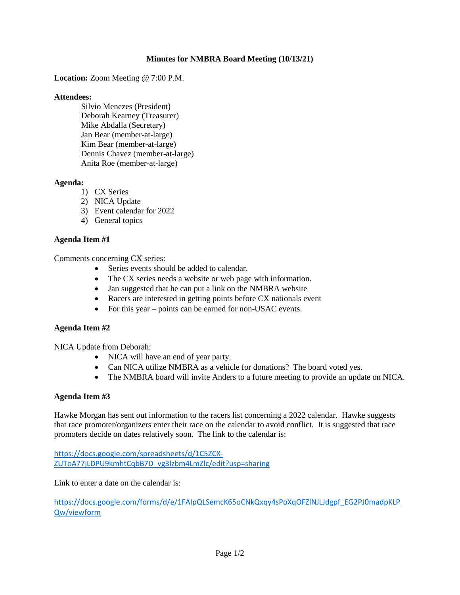# **Minutes for NMBRA Board Meeting (10/13/21)**

**Location:** Zoom Meeting @ 7:00 P.M.

#### **Attendees:**

Silvio Menezes (President) Deborah Kearney (Treasurer) Mike Abdalla (Secretary) Jan Bear (member-at-large) Kim Bear (member-at-large) Dennis Chavez (member-at-large) Anita Roe (member-at-large)

### **Agenda:**

- 1) CX Series
- 2) NICA Update
- 3) Event calendar for 2022
- 4) General topics

# **Agenda Item #1**

Comments concerning CX series:

- Series events should be added to calendar.
- The CX series needs a website or web page with information.
- Jan suggested that he can put a link on the NMBRA website
- Racers are interested in getting points before CX nationals event
- For this year points can be earned for non-USAC events.

### **Agenda Item #2**

NICA Update from Deborah:

- NICA will have an end of year party.
- Can NICA utilize NMBRA as a vehicle for donations? The board voted yes.
- The NMBRA board will invite Anders to a future meeting to provide an update on NICA.

### **Agenda Item #3**

Hawke Morgan has sent out information to the racers list concerning a 2022 calendar. Hawke suggests that race promoter/organizers enter their race on the calendar to avoid conflict. It is suggested that race promoters decide on dates relatively soon. The link to the calendar is:

[https://docs.google.com/spreadsheets/d/1C5ZCX-](https://docs.google.com/spreadsheets/d/1C5ZCX-ZUToA77jLDPU9kmhtCqbB7D_vg3lzbm4LmZlc/edit?usp=sharing)[ZUToA77jLDPU9kmhtCqbB7D\\_vg3lzbm4LmZlc/edit?usp=sharing](https://docs.google.com/spreadsheets/d/1C5ZCX-ZUToA77jLDPU9kmhtCqbB7D_vg3lzbm4LmZlc/edit?usp=sharing)

Link to enter a date on the calendar is:

[https://docs.google.com/forms/d/e/1FAIpQLSemcK65oCNkQxqy4sPoXqOFZlNJLJdgpf\\_EG2PJ0madpKLP](https://docs.google.com/forms/d/e/1FAIpQLSemcK65oCNkQxqy4sPoXqOFZlNJLJdgpf_EG2PJ0madpKLPQw/viewform) [Qw/viewform](https://docs.google.com/forms/d/e/1FAIpQLSemcK65oCNkQxqy4sPoXqOFZlNJLJdgpf_EG2PJ0madpKLPQw/viewform)